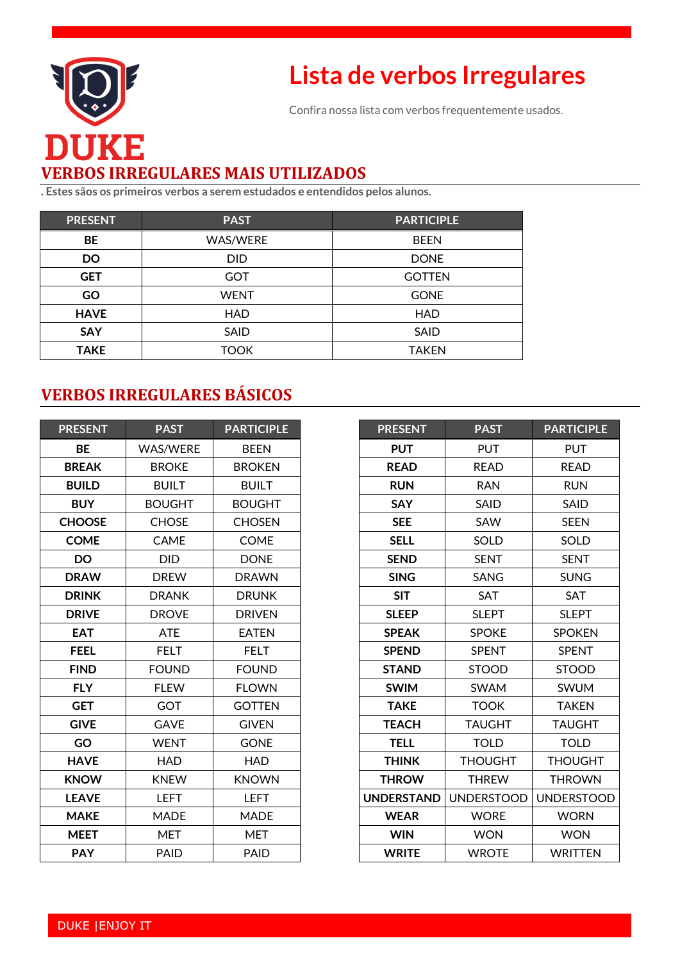

# **Lista de verbos Irregulares**

Confira nossa lista com verbos frequentemente usados.

## **VERBOS IRREGULARES MAIS UTILIZADOS**

**. Estes sãos os primeiros verbos a serem estudados e entendidos pelos alunos.**

| <b>PRESENT</b> | <b>PAST</b>     | <b>PARTICIPLE</b> |
|----------------|-----------------|-------------------|
| BE             | <b>WAS/WERE</b> | <b>BEEN</b>       |
| <b>DO</b>      | DID.            | <b>DONE</b>       |
| <b>GET</b>     | GOT             | <b>GOTTEN</b>     |
| GO             | <b>WENT</b>     | <b>GONE</b>       |
| <b>HAVE</b>    | <b>HAD</b>      | <b>HAD</b>        |
| <b>SAY</b>     | SAID            | SAID              |
| <b>TAKE</b>    | тоок            | <b>TAKEN</b>      |

#### **VERBOS IRREGULARES BÁSICOS**

| <b>PRESENT</b> | <b>PAST</b>     | <b>PARTICIPLE</b> |
|----------------|-----------------|-------------------|
| ВE             | <b>WAS/WERE</b> | <b>BEEN</b>       |
| <b>BREAK</b>   | <b>BROKE</b>    | <b>BROKEN</b>     |
| <b>BUILD</b>   | <b>BUILT</b>    | <b>BUILT</b>      |
| <b>BUY</b>     | <b>BOUGHT</b>   | <b>BOUGHT</b>     |
| <b>CHOOSE</b>  | <b>CHOSE</b>    | <b>CHOSEN</b>     |
| <b>COME</b>    | <b>CAME</b>     | <b>COME</b>       |
| DO             | DID             | <b>DONE</b>       |
| <b>DRAW</b>    | <b>DREW</b>     | <b>DRAWN</b>      |
| <b>DRINK</b>   | <b>DRANK</b>    | <b>DRUNK</b>      |
| <b>DRIVE</b>   | <b>DROVE</b>    | <b>DRIVEN</b>     |
| <b>EAT</b>     | <b>ATE</b>      | <b>EATEN</b>      |
| <b>FEEL</b>    | <b>FELT</b>     | <b>FELT</b>       |
| <b>FIND</b>    | <b>FOUND</b>    | <b>FOUND</b>      |
| <b>FLY</b>     | <b>FLEW</b>     | <b>FLOWN</b>      |
| <b>GET</b>     | GOT             | <b>GOTTEN</b>     |
| <b>GIVE</b>    | <b>GAVE</b>     | <b>GIVEN</b>      |
| GO             | <b>WENT</b>     | <b>GONE</b>       |
| <b>HAVE</b>    | <b>HAD</b>      | <b>HAD</b>        |
| <b>KNOW</b>    | <b>KNEW</b>     | <b>KNOWN</b>      |
| <b>LEAVE</b>   | <b>LEFT</b>     | LEFT              |
| <b>MAKE</b>    | <b>MADE</b>     | <b>MADE</b>       |
| <b>MEET</b>    | <b>MET</b>      | <b>MET</b>        |
| <b>PAY</b>     | <b>PAID</b>     | <b>PAID</b>       |

| <b>PRESENT</b>    | <b>PAST</b>       | <b>PARTICIPLE</b> |
|-------------------|-------------------|-------------------|
| <b>PUT</b>        | <b>PUT</b>        | <b>PUT</b>        |
| <b>READ</b>       | <b>READ</b>       | <b>READ</b>       |
| <b>RUN</b>        | <b>RAN</b>        | <b>RUN</b>        |
| <b>SAY</b>        | SAID              | SAID              |
| <b>SEE</b>        | SAW               | <b>SEEN</b>       |
| <b>SELL</b>       | SOLD              | SOLD              |
| <b>SEND</b>       | <b>SENT</b>       | <b>SENT</b>       |
| <b>SING</b>       | SANG              | <b>SUNG</b>       |
| <b>SIT</b>        | <b>SAT</b>        | <b>SAT</b>        |
| <b>SLEEP</b>      | <b>SLEPT</b>      | <b>SLEPT</b>      |
| <b>SPEAK</b>      | <b>SPOKE</b>      | <b>SPOKEN</b>     |
| <b>SPEND</b>      | <b>SPENT</b>      | <b>SPENT</b>      |
| <b>STAND</b>      | <b>STOOD</b>      | <b>STOOD</b>      |
| <b>SWIM</b>       | <b>SWAM</b>       | <b>SWUM</b>       |
| <b>TAKE</b>       | <b>TOOK</b>       | <b>TAKEN</b>      |
| <b>TEACH</b>      | <b>TAUGHT</b>     | <b>TAUGHT</b>     |
| <b>TELL</b>       | <b>TOLD</b>       | <b>TOLD</b>       |
| <b>THINK</b>      | <b>THOUGHT</b>    | <b>THOUGHT</b>    |
| <b>THROW</b>      | <b>THREW</b>      | <b>THROWN</b>     |
| <b>UNDERSTAND</b> | <b>UNDERSTOOD</b> | <b>UNDERSTOOD</b> |
| <b>WEAR</b>       | <b>WORE</b>       | <b>WORN</b>       |
| <b>WIN</b>        | <b>WON</b>        | <b>WON</b>        |
| <b>WRITE</b>      | <b>WROTE</b>      | <b>WRITTEN</b>    |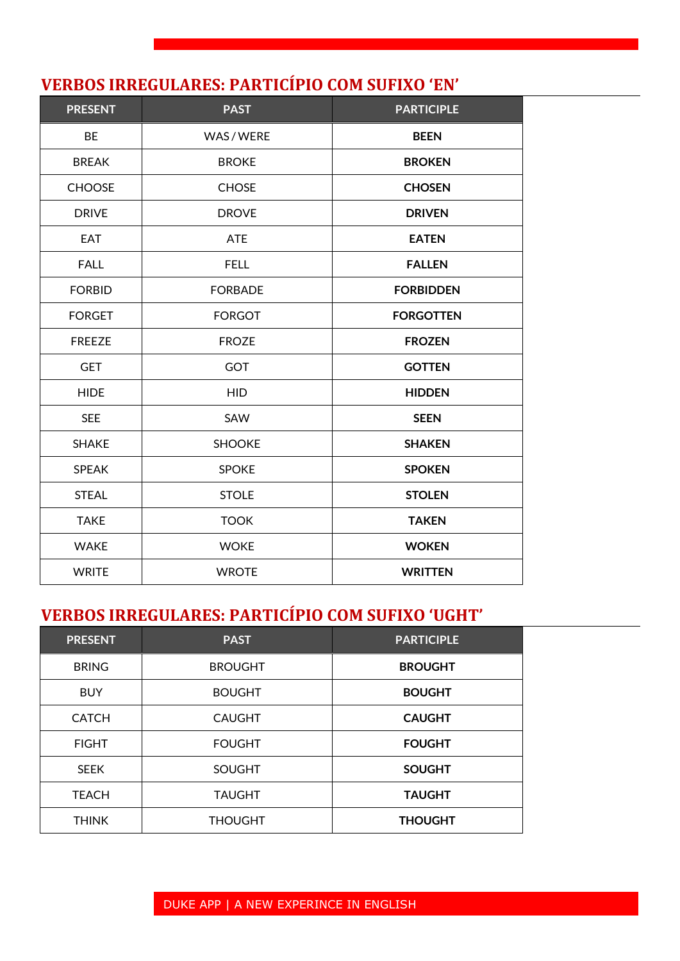#### **VERBOS IRREGULARES: PARTICÍPIO COM SUFIXO 'EN'**

| <b>PRESENT</b> | <b>PAST</b>    | <b>PARTICIPLE</b> |
|----------------|----------------|-------------------|
| BE             | WAS / WERE     | <b>BEEN</b>       |
| <b>BREAK</b>   | <b>BROKE</b>   | <b>BROKEN</b>     |
| <b>CHOOSE</b>  | <b>CHOSE</b>   | <b>CHOSEN</b>     |
| <b>DRIVE</b>   | <b>DROVE</b>   | <b>DRIVEN</b>     |
| <b>EAT</b>     | <b>ATE</b>     | <b>EATEN</b>      |
| <b>FALL</b>    | <b>FELL</b>    | <b>FALLEN</b>     |
| <b>FORBID</b>  | <b>FORBADE</b> | <b>FORBIDDEN</b>  |
| <b>FORGET</b>  | <b>FORGOT</b>  | <b>FORGOTTEN</b>  |
| <b>FREEZE</b>  | <b>FROZE</b>   | <b>FROZEN</b>     |
| <b>GET</b>     | <b>GOT</b>     | <b>GOTTEN</b>     |
| <b>HIDE</b>    | <b>HID</b>     | <b>HIDDEN</b>     |
| <b>SEE</b>     | SAW            | <b>SEEN</b>       |
| <b>SHAKE</b>   | <b>SHOOKE</b>  | <b>SHAKEN</b>     |
| <b>SPEAK</b>   | <b>SPOKE</b>   | <b>SPOKEN</b>     |
| <b>STEAL</b>   | <b>STOLE</b>   | <b>STOLEN</b>     |
| <b>TAKE</b>    | <b>TOOK</b>    | <b>TAKEN</b>      |
| <b>WAKE</b>    | <b>WOKE</b>    | <b>WOKEN</b>      |
| <b>WRITE</b>   | <b>WROTE</b>   | <b>WRITTEN</b>    |

#### **VERBOS IRREGULARES: PARTICÍPIO COM SUFIXO 'UGHT'**

| <b>PRESENT</b> | <b>PAST</b>    | <b>PARTICIPLE</b> |
|----------------|----------------|-------------------|
| <b>BRING</b>   | <b>BROUGHT</b> | <b>BROUGHT</b>    |
| <b>BUY</b>     | <b>BOUGHT</b>  | <b>BOUGHT</b>     |
| <b>CATCH</b>   | <b>CAUGHT</b>  | <b>CAUGHT</b>     |
| <b>FIGHT</b>   | <b>FOUGHT</b>  | <b>FOUGHT</b>     |
| <b>SEEK</b>    | <b>SOUGHT</b>  | <b>SOUGHT</b>     |
| <b>TEACH</b>   | <b>TAUGHT</b>  | <b>TAUGHT</b>     |
| <b>THINK</b>   | <b>THOUGHT</b> | <b>THOUGHT</b>    |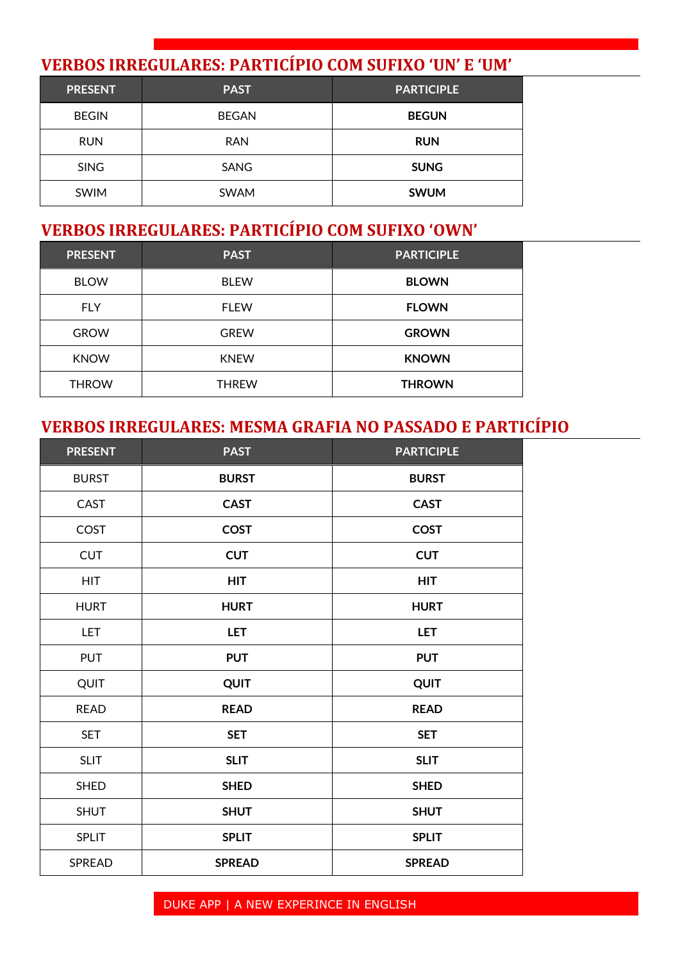#### **VERBOS IRREGULARES: PARTICÍPIO COM SUFIXO 'UN' E 'UM'**

| <b>PRESENT</b> | <b>PAST</b>  | <b>PARTICIPLE</b> |
|----------------|--------------|-------------------|
| <b>BEGIN</b>   | <b>BEGAN</b> | <b>BEGUN</b>      |
| <b>RUN</b>     | <b>RAN</b>   | <b>RUN</b>        |
| <b>SING</b>    | SANG         | <b>SUNG</b>       |
| <b>SWIM</b>    | <b>SWAM</b>  | <b>SWUM</b>       |

### **VERBOS IRREGULARES: PARTICÍPIO COM SUFIXO 'OWN'**

| <b>PRESENT</b> | <b>PAST</b>  | <b>PARTICIPLE</b> |
|----------------|--------------|-------------------|
| <b>BLOW</b>    | <b>BLEW</b>  | <b>BLOWN</b>      |
| <b>FLY</b>     | <b>FLEW</b>  | <b>FLOWN</b>      |
| <b>GROW</b>    | <b>GREW</b>  | <b>GROWN</b>      |
| <b>KNOW</b>    | <b>KNEW</b>  | <b>KNOWN</b>      |
| <b>THROW</b>   | <b>THREW</b> | <b>THROWN</b>     |

#### **VERBOS IRREGULARES: MESMA GRAFIA NO PASSADO E PARTICÍPIO**

| <b>PRESENT</b> | <b>PAST</b>   | <b>PARTICIPLE</b> |
|----------------|---------------|-------------------|
| <b>BURST</b>   | <b>BURST</b>  | <b>BURST</b>      |
| <b>CAST</b>    | <b>CAST</b>   | <b>CAST</b>       |
| COST           | <b>COST</b>   | <b>COST</b>       |
| <b>CUT</b>     | <b>CUT</b>    | <b>CUT</b>        |
| <b>HIT</b>     | <b>HIT</b>    | <b>HIT</b>        |
| <b>HURT</b>    | <b>HURT</b>   | <b>HURT</b>       |
| <b>LET</b>     | <b>LET</b>    | <b>LET</b>        |
| <b>PUT</b>     | <b>PUT</b>    | <b>PUT</b>        |
| QUIT           | QUIT          | <b>QUIT</b>       |
| <b>READ</b>    | <b>READ</b>   | <b>READ</b>       |
| <b>SET</b>     | <b>SET</b>    | <b>SET</b>        |
| <b>SLIT</b>    | <b>SLIT</b>   | <b>SLIT</b>       |
| <b>SHED</b>    | <b>SHED</b>   | <b>SHED</b>       |
| <b>SHUT</b>    | <b>SHUT</b>   | <b>SHUT</b>       |
| <b>SPLIT</b>   | <b>SPLIT</b>  | <b>SPLIT</b>      |
| SPREAD         | <b>SPREAD</b> | <b>SPREAD</b>     |

#### DUKE APP | A NEW EXPERINCE IN ENGLISH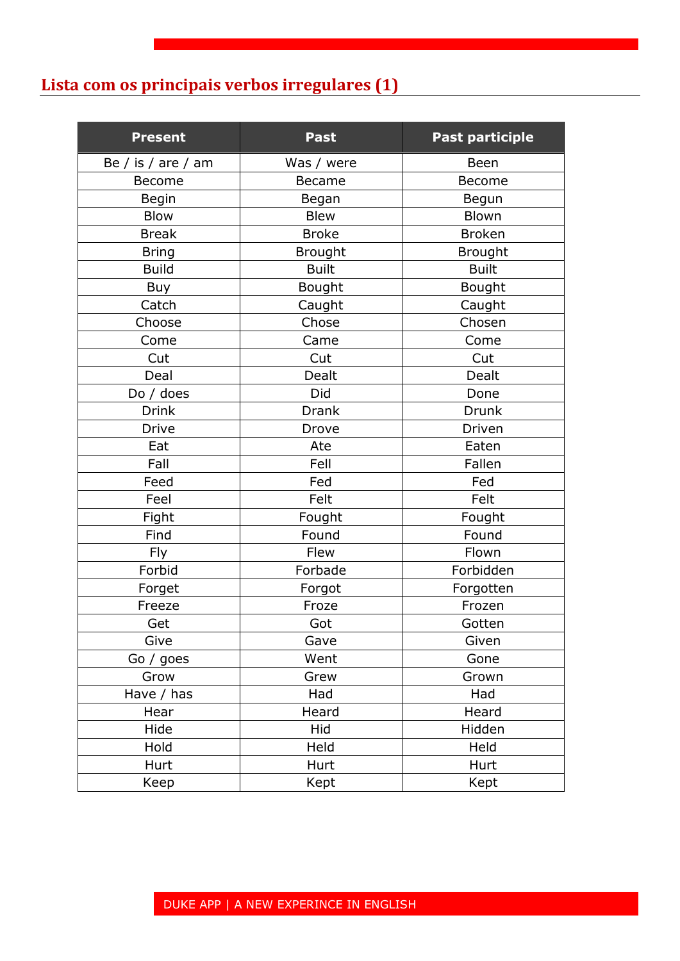### **Lista com os principais verbos irregulares (1)**

| <b>Present</b>     | Past           | <b>Past participle</b> |
|--------------------|----------------|------------------------|
| Be / is / are / am | Was / were     | Been                   |
| Become             | <b>Became</b>  | <b>Become</b>          |
| Begin              | Began          | Begun                  |
| <b>Blow</b>        | <b>Blew</b>    | Blown                  |
| <b>Break</b>       | <b>Broke</b>   | <b>Broken</b>          |
| <b>Bring</b>       | <b>Brought</b> | <b>Brought</b>         |
| <b>Build</b>       | <b>Built</b>   | <b>Built</b>           |
| Buy                | Bought         | Bought                 |
| Catch              | Caught         | Caught                 |
| Choose             | Chose          | Chosen                 |
| Come               | Came           | Come                   |
| Cut                | Cut            | Cut                    |
| Deal               | Dealt          | Dealt                  |
| Do / does          | Did            | Done                   |
| <b>Drink</b>       | <b>Drank</b>   | Drunk                  |
| <b>Drive</b>       | Drove          | Driven                 |
| Eat                | Ate            | Eaten                  |
| Fall               | Fell           | Fallen                 |
| Feed               | Fed            | Fed                    |
| Feel               | Felt           | Felt                   |
| Fight              | Fought         | Fought                 |
| Find               | Found          | Found                  |
| <b>Fly</b>         | Flew           | Flown                  |
| Forbid             | Forbade        | Forbidden              |
| Forget             | Forgot         | Forgotten              |
| Freeze             | Froze          | Frozen                 |
| Get                | Got            | Gotten                 |
| Give               | Gave           | Given                  |
| Go / goes          | Went           | Gone                   |
| Grow               | Grew           | Grown                  |
| Have / has         | Had            | Had                    |
| Hear               | Heard          | Heard                  |
| Hide               | Hid            | Hidden                 |
| Hold               | Held           | Held                   |
| Hurt               | Hurt           | Hurt                   |
| Keep               | Kept           | Kept                   |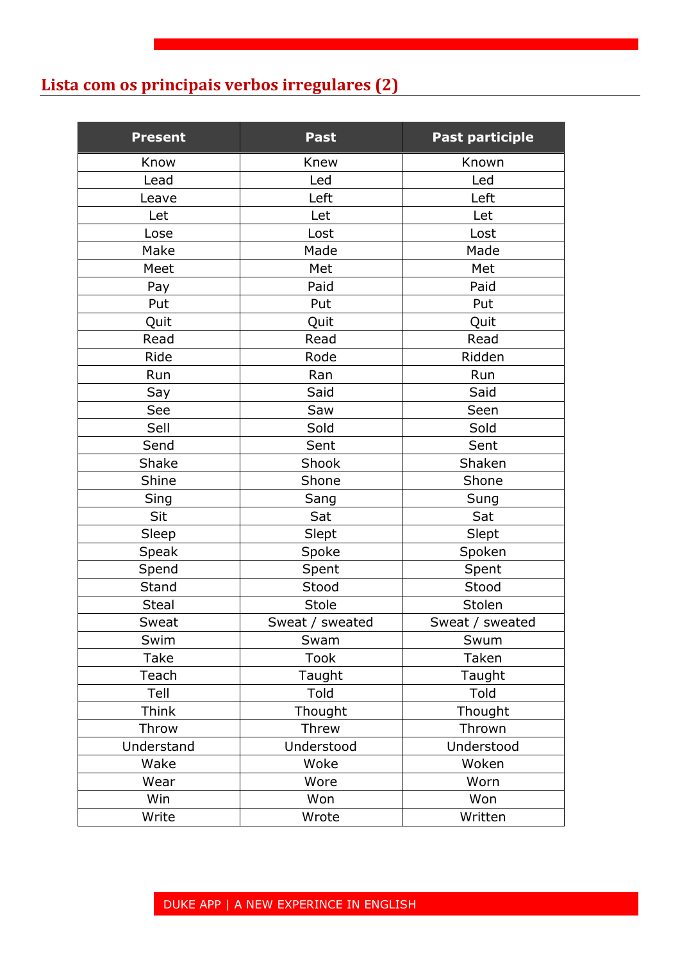#### **Lista com os principais verbos irregulares (2)**

| <b>Present</b> | <b>Past</b>     | <b>Past participle</b> |
|----------------|-----------------|------------------------|
| Know           | Knew            | Known                  |
| Lead           | Led             | Led                    |
| Leave          | Left            | Left                   |
| Let            | Let             | Let                    |
| Lose           | Lost            | Lost                   |
| Make           | Made            | Made                   |
| Meet           | Met             | Met                    |
| Pay            | Paid            | Paid                   |
| Put            | Put             | Put                    |
| Quit           | Quit            | Quit                   |
| Read           | Read            | Read                   |
| Ride           | Rode            | Ridden                 |
| Run            | Ran             | Run                    |
| Say            | Said            | Said                   |
| See            | Saw             | Seen                   |
| Sell           | Sold            | Sold                   |
| Send           | Sent            | Sent                   |
| Shake          | Shook           | Shaken                 |
| Shine          | Shone           | Shone                  |
| Sing           | Sang            | Sung                   |
| Sit            | Sat             | Sat                    |
| Sleep          | Slept           | Slept                  |
| Speak          | Spoke           | Spoken                 |
| Spend          | Spent           | Spent                  |
| Stand          | Stood           | Stood                  |
| <b>Steal</b>   | <b>Stole</b>    | Stolen                 |
| Sweat          | Sweat / sweated | Sweat / sweated        |
| Swim           | Swam            | Swum                   |
| Take           | <b>Took</b>     | Taken                  |
| Teach          | Taught          | Taught                 |
| Tell           | Told            | Told                   |
| Think          | Thought         | Thought                |
| Throw          | Threw           | Thrown                 |
| Understand     | Understood      | Understood             |
| Wake           | Woke            | Woken                  |
| Wear           | Wore            | Worn                   |
| Win            | Won             | Won                    |
| Write          | Wrote           | Written                |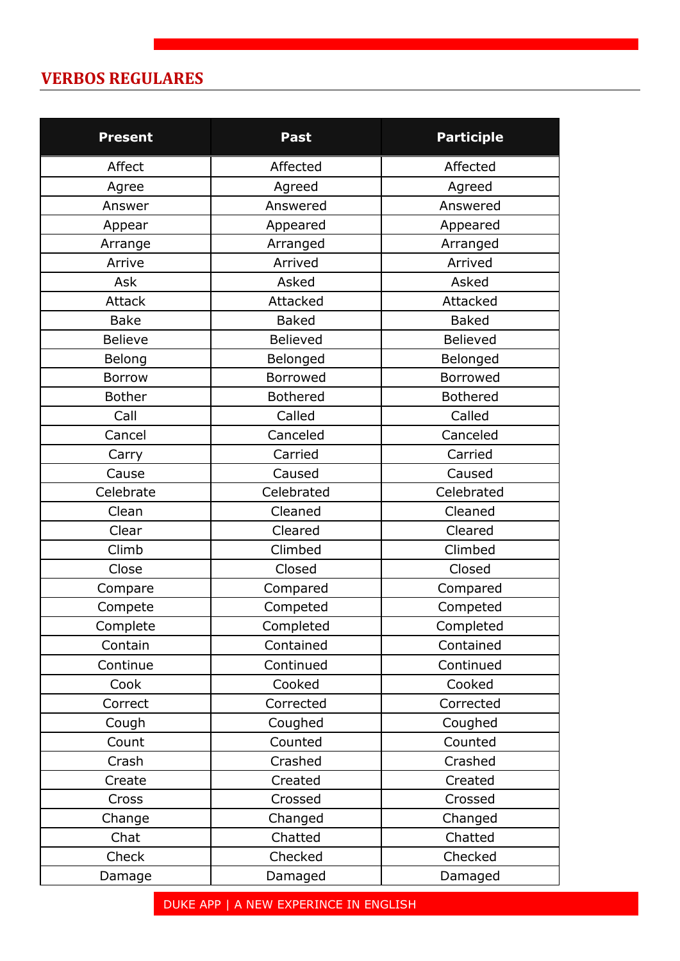#### **VERBOS REGULARES**

| <b>Present</b> | <b>Past</b>     | <b>Participle</b> |
|----------------|-----------------|-------------------|
| Affect         | Affected        | Affected          |
| Agree          | Agreed          | Agreed            |
| Answer         | Answered        | Answered          |
| Appear         | Appeared        | Appeared          |
| Arrange        | Arranged        | Arranged          |
| Arrive         | Arrived         | Arrived           |
| Ask            | Asked           | Asked             |
| Attack         | Attacked        | Attacked          |
| <b>Bake</b>    | <b>Baked</b>    | <b>Baked</b>      |
| <b>Believe</b> | Believed        | Believed          |
| Belong         | Belonged        | Belonged          |
| Borrow         | <b>Borrowed</b> | <b>Borrowed</b>   |
| <b>Bother</b>  | <b>Bothered</b> | <b>Bothered</b>   |
| Call           | Called          | Called            |
| Cancel         | Canceled        | Canceled          |
| Carry          | Carried         | Carried           |
| Cause          | Caused          | Caused            |
| Celebrate      | Celebrated      | Celebrated        |
| Clean          | Cleaned         | Cleaned           |
| Clear          | Cleared         | Cleared           |
| Climb          | Climbed         | Climbed           |
| Close          | Closed          | Closed            |
| Compare        | Compared        | Compared          |
| Compete        | Competed        | Competed          |
| Complete       | Completed       | Completed         |
| Contain        | Contained       | Contained         |
| Continue       | Continued       | Continued         |
| Cook           | Cooked          | Cooked            |
| Correct        | Corrected       | Corrected         |
| Cough          | Coughed         | Coughed           |
| Count          | Counted         | Counted           |
| Crash          | Crashed         | Crashed           |
| Create         | Created         | Created           |
| Cross          | Crossed         | Crossed           |
| Change         | Changed         | Changed           |
| Chat           | Chatted         | Chatted           |
| Check          | Checked         | Checked           |
| Damage         | Damaged         | Damaged           |

DUKE APP | A NEW EXPERINCE IN ENGLISH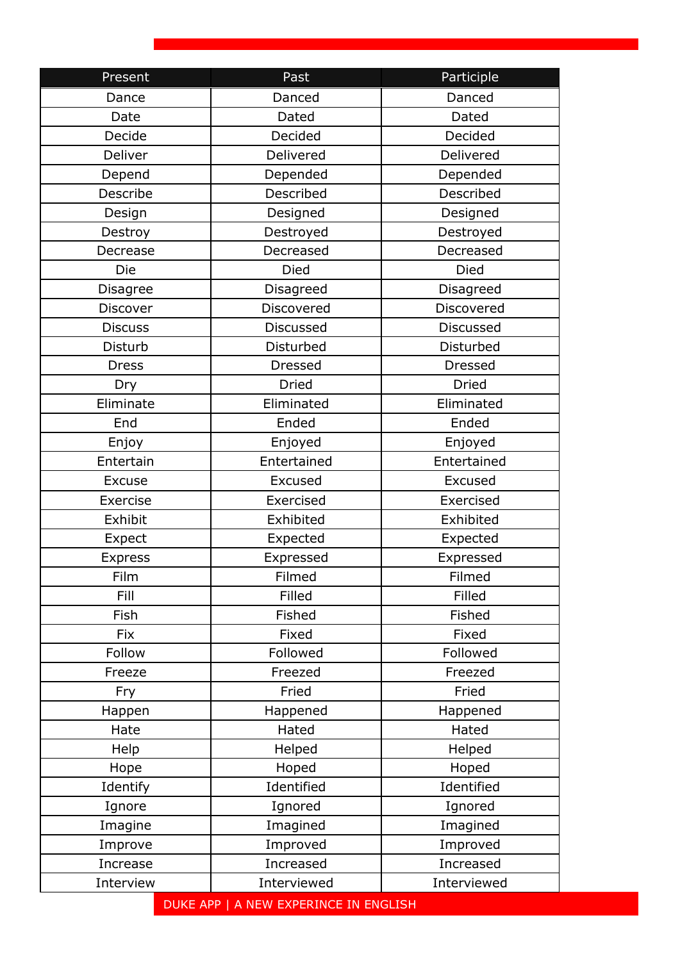| Present        | Past                                  | Participle       |
|----------------|---------------------------------------|------------------|
| Dance          | Danced                                | Danced           |
| Date           | Dated                                 | Dated            |
| Decide         | Decided                               | Decided          |
| Deliver        | Delivered                             | Delivered        |
| Depend         | Depended                              | Depended         |
| Describe       | Described                             | Described        |
| Design         | Designed                              | Designed         |
| Destroy        | Destroyed                             | Destroyed        |
| Decrease       | Decreased                             | Decreased        |
| Die            | Died                                  | Died             |
| Disagree       | Disagreed                             | Disagreed        |
| Discover       | Discovered                            | Discovered       |
| <b>Discuss</b> | <b>Discussed</b>                      | <b>Discussed</b> |
| Disturb        | Disturbed                             | Disturbed        |
| <b>Dress</b>   | <b>Dressed</b>                        | <b>Dressed</b>   |
| Dry            | <b>Dried</b>                          | <b>Dried</b>     |
| Eliminate      | Eliminated                            | Eliminated       |
| End            | Ended                                 | Ended            |
| Enjoy          | Enjoyed                               | Enjoyed          |
| Entertain      | Entertained                           | Entertained      |
| <b>Excuse</b>  | Excused                               | Excused          |
| Exercise       | Exercised                             | Exercised        |
| Exhibit        | Exhibited                             | Exhibited        |
| Expect         | Expected                              | Expected         |
| <b>Express</b> | Expressed                             | Expressed        |
| Film           | Filmed                                | Filmed           |
| <b>Fill</b>    | Filled                                | Filled           |
| Fish           | Fished                                | Fished           |
| Fix            | Fixed                                 | Fixed            |
| Follow         | Followed                              | Followed         |
| Freeze         | Freezed                               | Freezed          |
| Fry            | Fried                                 | Fried            |
| Happen         | Happened                              | Happened         |
| Hate           | Hated                                 | Hated            |
| Help           | Helped                                | Helped           |
| Hope           | Hoped                                 | Hoped            |
| Identify       | Identified                            | Identified       |
| Ignore         | Ignored                               | Ignored          |
| Imagine        | Imagined                              | Imagined         |
| Improve        | Improved                              | Improved         |
| Increase       | Increased                             | Increased        |
| Interview      | Interviewed                           | Interviewed      |
|                | DUKE APP   A NEW EXPERINCE IN ENGLISH |                  |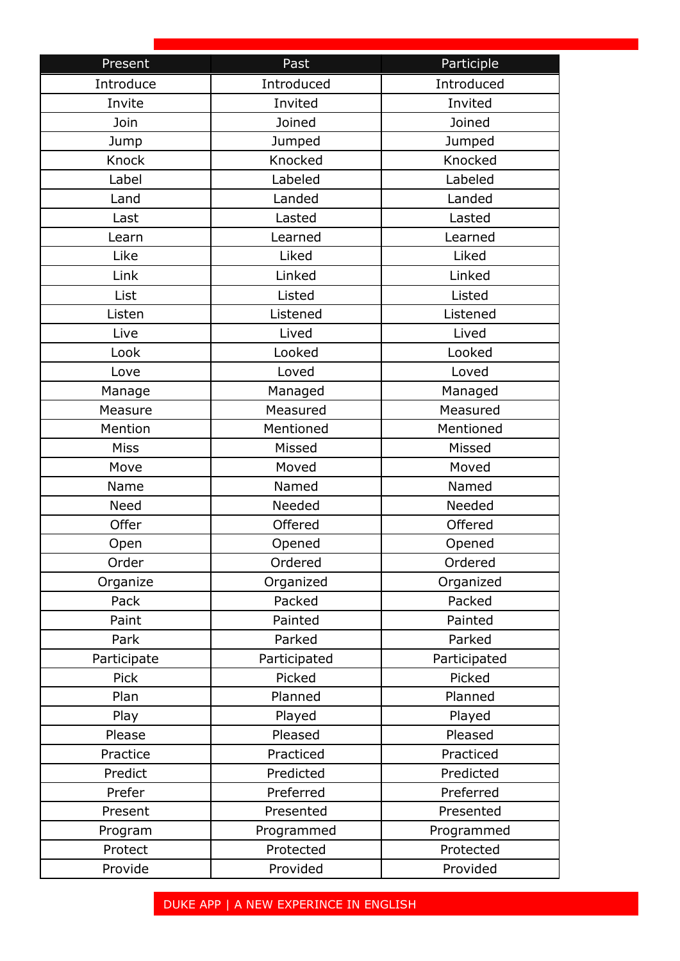| Present      | Past         | Participle   |
|--------------|--------------|--------------|
| Introduce    | Introduced   | Introduced   |
| Invite       | Invited      | Invited      |
| Join         | Joined       | Joined       |
| Jump         | Jumped       | Jumped       |
| <b>Knock</b> | Knocked      | Knocked      |
| Label        | Labeled      | Labeled      |
| Land         | Landed       | Landed       |
| Last         | Lasted       | Lasted       |
| Learn        | Learned      | Learned      |
| Like         | Liked        | Liked        |
| Link         | Linked       | Linked       |
| List         | Listed       | Listed       |
| Listen       | Listened     | Listened     |
| Live         | Lived        | Lived        |
| Look         | Looked       | Looked       |
| Love         | Loved        | Loved        |
| Manage       | Managed      | Managed      |
| Measure      | Measured     | Measured     |
| Mention      | Mentioned    | Mentioned    |
| <b>Miss</b>  | Missed       | Missed       |
| Move         | Moved        | Moved        |
| Name         | Named        | Named        |
| <b>Need</b>  | Needed       | Needed       |
| Offer        | Offered      | Offered      |
| Open         | Opened       | Opened       |
| Order        | Ordered      | Ordered      |
| Organize     | Organized    | Organized    |
| Pack         | Packed       | Packed       |
| Paint        | Painted      | Painted      |
| Park         | Parked       | Parked       |
| Participate  | Participated | Participated |
| Pick         | Picked       | Picked       |
| Plan         | Planned      | Planned      |
| Play         | Played       | Played       |
| Please       | Pleased      | Pleased      |
| Practice     | Practiced    | Practiced    |
| Predict      | Predicted    | Predicted    |
| Prefer       | Preferred    | Preferred    |
| Present      | Presented    | Presented    |
| Program      | Programmed   | Programmed   |
| Protect      | Protected    | Protected    |
| Provide      | Provided     | Provided     |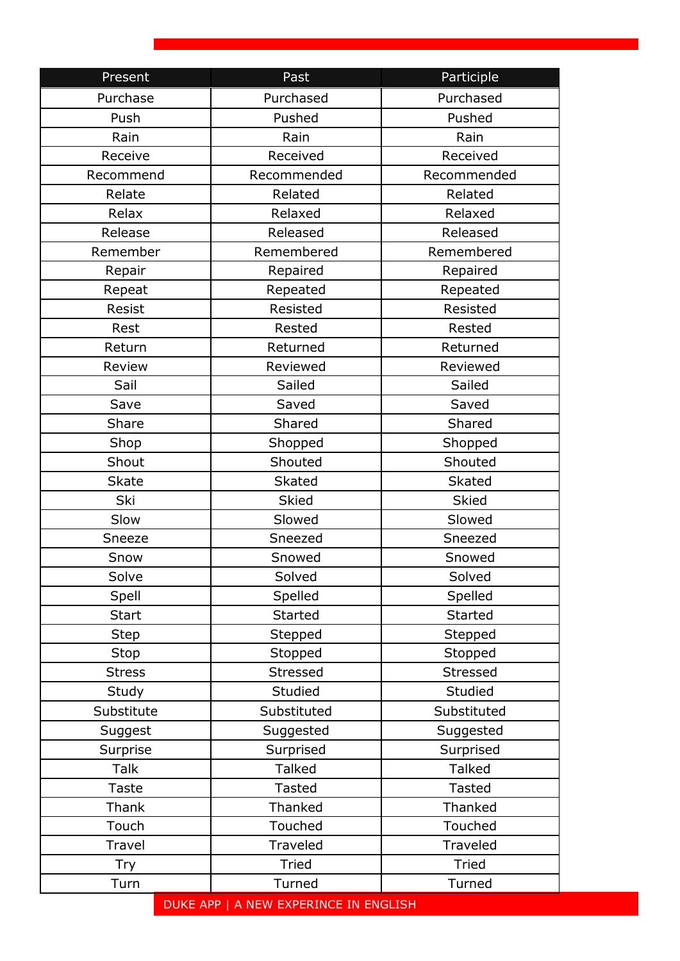| Present       | Past                                  | Participle     |
|---------------|---------------------------------------|----------------|
| Purchase      | Purchased                             | Purchased      |
| Push          | Pushed                                | Pushed         |
| Rain          | Rain                                  | Rain           |
| Receive       | Received                              | Received       |
| Recommend     | Recommended                           | Recommended    |
| Relate        | Related                               | Related        |
| Relax         | Relaxed                               | Relaxed        |
| Release       | Released                              | Released       |
| Remember      | Remembered                            | Remembered     |
| Repair        | Repaired                              | Repaired       |
| Repeat        | Repeated                              | Repeated       |
| Resist        | Resisted                              | Resisted       |
| Rest          | Rested                                | Rested         |
| Return        | Returned                              | Returned       |
| Review        | Reviewed                              | Reviewed       |
| Sail          | Sailed                                | Sailed         |
| Save          | Saved                                 | Saved          |
| Share         | Shared                                | Shared         |
| Shop          | Shopped                               | Shopped        |
| Shout         | Shouted                               | Shouted        |
| <b>Skate</b>  | <b>Skated</b>                         | <b>Skated</b>  |
| Ski           | <b>Skied</b>                          | <b>Skied</b>   |
| Slow          | Slowed                                | Slowed         |
| Sneeze        | Sneezed                               | Sneezed        |
| Snow          | Snowed                                | Snowed         |
| Solve         | Solved                                | Solved         |
| Spell         | Spelled                               | Spelled        |
| <b>Start</b>  | <b>Started</b>                        | <b>Started</b> |
| <b>Step</b>   | Stepped                               | Stepped        |
| Stop          | Stopped                               | Stopped        |
| <b>Stress</b> | <b>Stressed</b>                       | Stressed       |
| Study         | Studied                               | Studied        |
| Substitute    | Substituted                           | Substituted    |
| Suggest       | Suggested                             | Suggested      |
| Surprise      | Surprised                             | Surprised      |
| <b>Talk</b>   | <b>Talked</b>                         | <b>Talked</b>  |
| <b>Taste</b>  | <b>Tasted</b>                         | <b>Tasted</b>  |
| Thank         | Thanked                               | Thanked        |
| Touch         | Touched                               | Touched        |
| Travel        | Traveled                              | Traveled       |
| Try           | <b>Tried</b>                          | <b>Tried</b>   |
| Turn          | Turned                                | Turned         |
|               | DUKE APP   A NEW EXPERINCE IN ENGLISH |                |